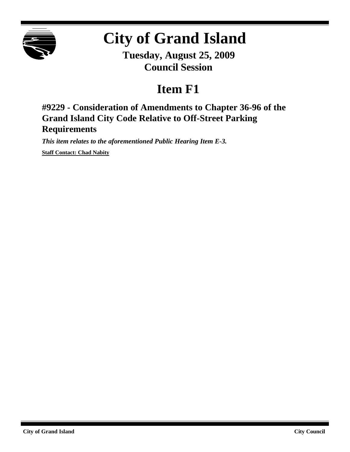

# **City of Grand Island**

**Tuesday, August 25, 2009 Council Session**

## **Item F1**

**#9229 - Consideration of Amendments to Chapter 36-96 of the Grand Island City Code Relative to Off-Street Parking Requirements**

*This item relates to the aforementioned Public Hearing Item E-3.*

**Staff Contact: Chad Nabity**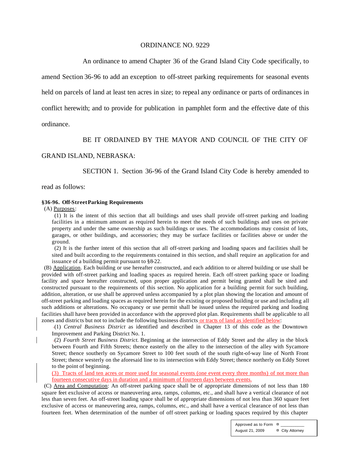#### ORDINANCE NO. 9229

An ordinance to amend Chapter 36 of the Grand Island City Code specifically, to

amend Section 36-96 to add an exception to off-street parking requirements for seasonal events held on parcels of land at least ten acres in size; to repeal any ordinance or parts of ordinances in conflict herewith; and to provide for publication in pamphlet form and the effective date of this

ordinance.

#### BE IT ORDAINED BY THE MAYOR AND COUNCIL OF THE CITY OF

#### GRAND ISLAND, NEBRASKA:

SECTION 1. Section 36-96 of the Grand Island City Code is hereby amended to

read as follows:

#### **§36-96. Off-StreetParking Requirements**

(A) Purposes:

 (1) It is the intent of this section that all buildings and uses shall provide off-street parking and loading facilities in a minimum amount as required herein to meet the needs of such buildings and uses on private property and under the same ownership as such buildings or uses. The accommodations may consist of lots, garages, or other buildings, and accessories; they may be surface facilities or facilities above or under the ground.

 (2) It is the further intent of this section that all off-street parking and loading spaces and facilities shall be sited and built according to the requirements contained in this section, and shall require an application for and issuance of a building permit pursuant to §8-22.

 (B) Application. Each building or use hereafter constructed, and each addition to or altered building or use shall be provided with off-street parking and loading spaces as required herein. Each off-street parking space or loading facility and space hereafter constructed, upon proper application and permit being granted shall be sited and constructed pursuant to the requirements of this section. No application for a building permit for such building, addition, alteration, or use shall be approved unless accompanied by a plot plan showing the location and amount of off-street parking and loading spaces as required herein for the existing or proposed building or use and including all such additions or alterations. No occupancy or use permit shall be issued unless the required parking and loading facilities shall have been provided in accordance with the approved plot plan. Requirements shall be applicable to all zones and districts but not to include the following business districts or tracts of land as identified below:

(1) *Central Business District* as identified and described in Chapter 13 of this code as the Downtown Improvement and Parking District No. 1.

(2) *Fourth Street Business District.* Beginning at the intersection of Eddy Street and the alley in the block between Fourth and Fifth Streets; thence easterly on the alley to the intersection of the alley with Sycamore Street; thence southerly on Sycamore Street to 100 feet south of the south right-of-way line of North Front Street; thence westerly on the aforesaid line to its intersection with Eddy Street; thence northerly on Eddy Street to the point of beginning.

(3) Tracts of land ten acres or more used for seasonal events (one event every three months) of not more than fourteen consecutive days in duration and a minimum of fourteen days between events.

 (C) Area and Computation: An off-street parking space shall be of appropriate dimensions of not less than 180 square feet exclusive of access or maneuvering area, ramps, columns, etc., and shall have a vertical clearance of not less than seven feet. An off-street loading space shall be of appropriate dimensions of not less than 360 square feet exclusive of access or maneuvering area, ramps, columns, etc., and shall have a vertical clearance of not less than fourteen feet. When determination of the number of off-street parking or loading spaces required by this chapter

> Approved as to Form  $\alpha$ August 21, 2009 ¤ City Attorney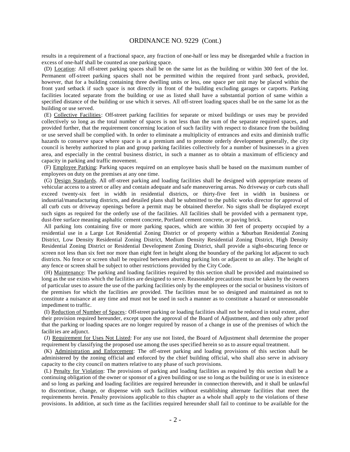#### ORDINANCE NO. 9229 (Cont.)

results in a requirement of a fractional space, any fraction of one-half or less may be disregarded while a fraction in excess of one-half shall be counted as one parking space.

 (D) Location: All off-street parking spaces shall be on the same lot as the building or within 300 feet of the lot. Permanent off-street parking spaces shall not be permitted within the required front yard setback, provided, however, that for a building containing three dwelling units or less, one space per unit may be placed within the front yard setback if such space is not directly in front of the building excluding garages or carports. Parking facilities located separate from the building or use as listed shall have a substantial portion of same within a specified distance of the building or use which it serves. All off-street loading spaces shall be on the same lot as the building or use served.

 (E) Collective Facilities: Off-street parking facilities for separate or mixed buildings or uses may be provided collectively so long as the total number of spaces is not less than the sum of the separate required spaces, and provided further, that the requirement concerning location of such facility with respect to distance from the building or use served shall be complied with. In order to eliminate a multiplicity of entrances and exits and diminish traffic hazards to conserve space where space is at a premium and to promote orderly development generally, the city council is hereby authorized to plan and group parking facilities collectively for a number of businesses in a given area, and especially in the central business district, in such a manner as to obtain a maximum of efficiency and capacity in parking and traffic movement.

 (F) Employee Parking: Parking spaces required on an employee basis shall be based on the maximum number of employees on duty on the premises at any one time.

 (G) Design Standards. All off-street parking and loading facilities shall be designed with appropriate means of vehicular access to a street or alley and contain adequate and safe maneuvering areas. No driveway or curb cuts shall exceed twenty-six feet in width in residential districts, or thirty-five feet in width in business or industrial/manufacturing districts, and detailed plans shall be submitted to the public works director for approval of all curb cuts or driveway openings before a permit may be obtained therefor. No signs shall be displayed except such signs as required for the orderly use of the facilities. All facilities shall be provided with a permanent type, dust-free surface meaning asphaltic cement concrete, Portland cement concrete, or paving brick.

 All parking lots containing five or more parking spaces, which are within 30 feet of property occupied by a residential use in a Large Lot Residential Zoning District or of property within a Suburban Residential Zoning District, Low Density Residential Zoning District, Medium Density Residential Zoning District, High Density Residential Zoning District or Residential Development Zoning District, shall provide a sight-obscuring fence or screen not less than six feet nor more than eight feet in height along the boundary of the parking lot adjacent to such districts. No fence or screen shall be required between abutting parking lots or adjacent to an alley. The height of any fence or screen shall be subject to other restrictions provided by the City Code.

 (H) Maintenance: The parking and loading facilities required by this section shall be provided and maintained so long as the use exists which the facilities are designed to serve. Reasonable precautions must be taken by the owners of particular uses to assure the use of the parking facilities only by the employees or the social or business visitors of the premises for which the facilities are provided. The facilities must be so designed and maintained as not to constitute a nuisance at any time and must not be used in such a manner as to constitute a hazard or unreasonable impediment to traffic.

 (I) Reduction of Number of Spaces: Off-street parking or loading facilities shall not be reduced in total extent, after their provision required hereunder, except upon the approval of the Board of Adjustment, and then only after proof that the parking or loading spaces are no longer required by reason of a change in use of the premises of which the facilit ies are adjunct.

 (J) Requirement for Uses Not Listed: For any use not listed, the Board of Adjustment shall determine the proper requirement by classifying the proposed use among the uses specified herein so as to assure equal treatment.

 (K) Administration and Enforcement: The off-street parking and loading provisions of this section shall be administered by the zoning official and enforced by the chief building official, who shall also serve in advisory capacity to the city council on matters relative to any phase of such provisions.

 (L) Penalty for Violation: The provisions of parking and loading facilities as required by this section shall be a continuing obligation of the owner or sponsor of a given building or use so long as the building or use is in existence and so long as parking and loading facilities are required hereunder in connection therewith, and it shall be unlawful to discontinue, change, or dispense with such facilities without establishing alternate facilities that meet the requirements herein. Penalty provisions applicable to this chapter as a whole shall apply to the violations of these provisions. In addition, at such time as the facilities required hereunder shall fail to continue to be available for the